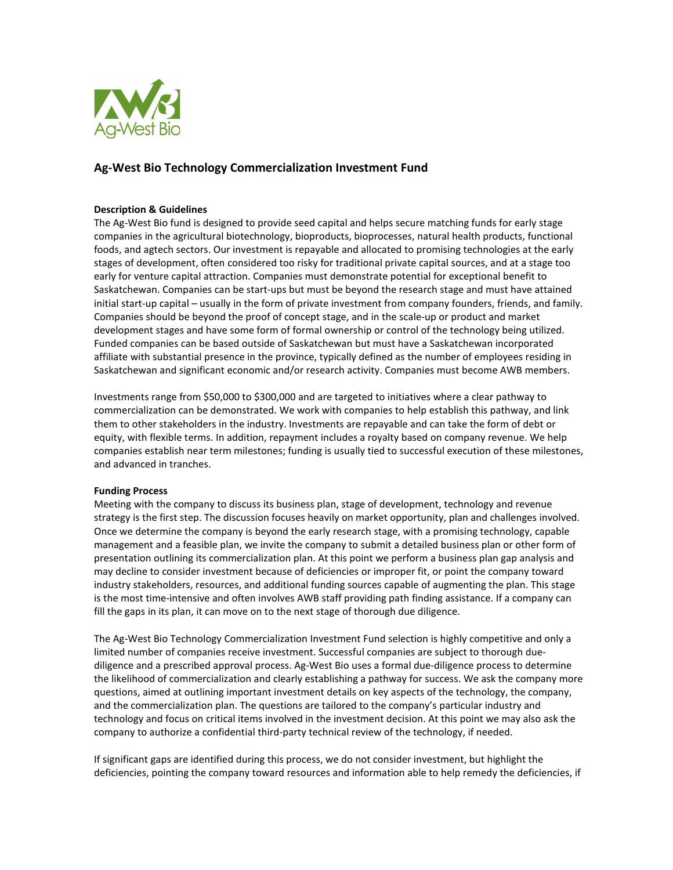

# **Ag-West Bio Technology Commercialization Investment Fund**

### **Description & Guidelines**

The Ag-West Bio fund is designed to provide seed capital and helps secure matching funds for early stage companies in the agricultural biotechnology, bioproducts, bioprocesses, natural health products, functional foods, and agtech sectors. Our investment is repayable and allocated to promising technologies at the early stages of development, often considered too risky for traditional private capital sources, and at a stage too early for venture capital attraction. Companies must demonstrate potential for exceptional benefit to Saskatchewan. Companies can be start-ups but must be beyond the research stage and must have attained initial start-up capital – usually in the form of private investment from company founders, friends, and family. Companies should be beyond the proof of concept stage, and in the scale-up or product and market development stages and have some form of formal ownership or control of the technology being utilized. Funded companies can be based outside of Saskatchewan but must have a Saskatchewan incorporated affiliate with substantial presence in the province, typically defined as the number of employees residing in Saskatchewan and significant economic and/or research activity. Companies must become AWB members.

Investments range from \$50,000 to \$300,000 and are targeted to initiatives where a clear pathway to commercialization can be demonstrated. We work with companies to help establish this pathway, and link them to other stakeholders in the industry. Investments are repayable and can take the form of debt or equity, with flexible terms. In addition, repayment includes a royalty based on company revenue. We help companies establish near term milestones; funding is usually tied to successful execution of these milestones, and advanced in tranches.

# **Funding Process**

Meeting with the company to discuss its business plan, stage of development, technology and revenue strategy is the first step. The discussion focuses heavily on market opportunity, plan and challenges involved. Once we determine the company is beyond the early research stage, with a promising technology, capable management and a feasible plan, we invite the company to submit a detailed business plan or other form of presentation outlining its commercialization plan. At this point we perform a business plan gap analysis and may decline to consider investment because of deficiencies or improper fit, or point the company toward industry stakeholders, resources, and additional funding sources capable of augmenting the plan. This stage is the most time-intensive and often involves AWB staff providing path finding assistance. If a company can fill the gaps in its plan, it can move on to the next stage of thorough due diligence.

The Ag-West Bio Technology Commercialization Investment Fund selection is highly competitive and only a limited number of companies receive investment. Successful companies are subject to thorough duediligence and a prescribed approval process. Ag-West Bio uses a formal due-diligence process to determine the likelihood of commercialization and clearly establishing a pathway for success. We ask the company more questions, aimed at outlining important investment details on key aspects of the technology, the company, and the commercialization plan. The questions are tailored to the company's particular industry and technology and focus on critical items involved in the investment decision. At this point we may also ask the company to authorize a confidential third-party technical review of the technology, if needed.

If significant gaps are identified during this process, we do not consider investment, but highlight the deficiencies, pointing the company toward resources and information able to help remedy the deficiencies, if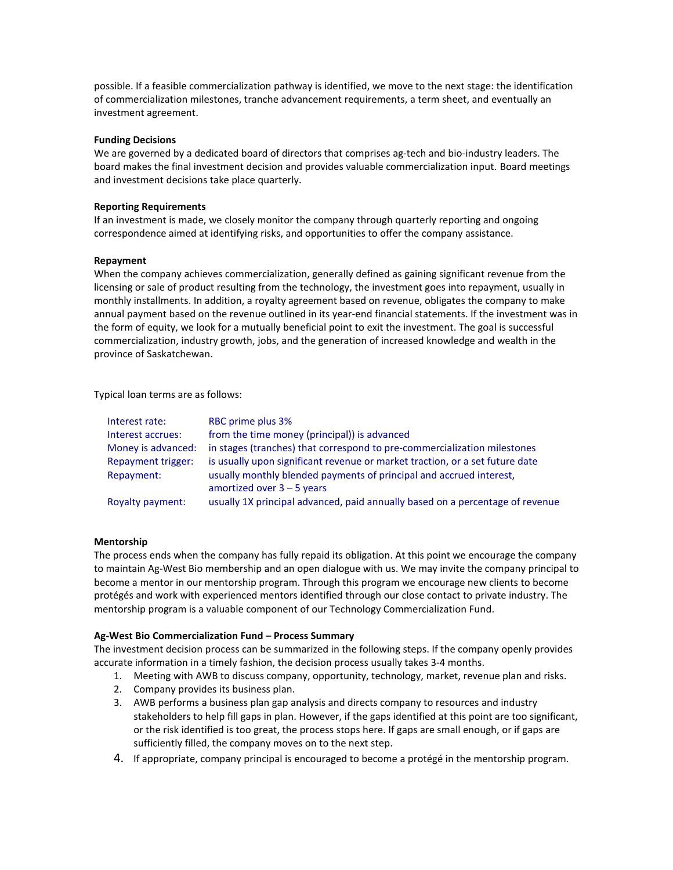possible. If a feasible commercialization pathway is identified, we move to the next stage: the identification of commercialization milestones, tranche advancement requirements, a term sheet, and eventually an investment agreement.

### **Funding Decisions**

We are governed by a dedicated board of directors that comprises ag-tech and bio-industry leaders. The board makes the final investment decision and provides valuable commercialization input. Board meetings and investment decisions take place quarterly.

#### **Reporting Requirements**

If an investment is made, we closely monitor the company through quarterly reporting and ongoing correspondence aimed at identifying risks, and opportunities to offer the company assistance.

#### **Repayment**

When the company achieves commercialization, generally defined as gaining significant revenue from the licensing or sale of product resulting from the technology, the investment goes into repayment, usually in monthly installments. In addition, a royalty agreement based on revenue, obligates the company to make annual payment based on the revenue outlined in its year-end financial statements. If the investment was in the form of equity, we look for a mutually beneficial point to exit the investment. The goal is successful commercialization, industry growth, jobs, and the generation of increased knowledge and wealth in the province of Saskatchewan.

Typical loan terms are as follows:

| Interest rate:     | RBC prime plus 3%                                                             |
|--------------------|-------------------------------------------------------------------------------|
| Interest accrues:  | from the time money (principal)) is advanced                                  |
| Money is advanced: | in stages (tranches) that correspond to pre-commercialization milestones      |
| Repayment trigger: | is usually upon significant revenue or market traction, or a set future date  |
| Repayment:         | usually monthly blended payments of principal and accrued interest,           |
|                    | amortized over $3 - 5$ years                                                  |
| Royalty payment:   | usually 1X principal advanced, paid annually based on a percentage of revenue |

#### **Mentorship**

The process ends when the company has fully repaid its obligation. At this point we encourage the company to maintain Ag-West Bio membership and an open dialogue with us. We may invite the company principal to become a mentor in our mentorship program. Through this program we encourage new clients to become protégés and work with experienced mentors identified through our close contact to private industry. The mentorship program is a valuable component of our Technology Commercialization Fund.

#### **Ag-West Bio Commercialization Fund – Process Summary**

The investment decision process can be summarized in the following steps. If the company openly provides accurate information in a timely fashion, the decision process usually takes 3-4 months.

- 1. Meeting with AWB to discuss company, opportunity, technology, market, revenue plan and risks.
- 2. Company provides its business plan.
- 3. AWB performs a business plan gap analysis and directs company to resources and industry stakeholders to help fill gaps in plan. However, if the gaps identified at this point are too significant, or the risk identified is too great, the process stops here. If gaps are small enough, or if gaps are sufficiently filled, the company moves on to the next step.
- 4. If appropriate, company principal is encouraged to become a protégé in the mentorship program.